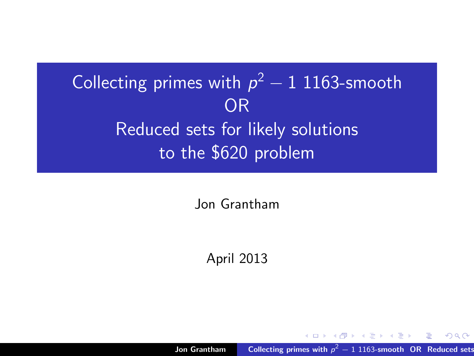# Collecting primes with  $p^2-1$  1163-smooth OR Reduced sets for likely solutions to the \$620 problem

Jon Grantham

April 2013

Jon Grantham **Collecting primes with**  $p^2 - 1$  1163-smooth OR Reduced sets

<span id="page-0-0"></span>メ御 トメ ミ トメ ミ トー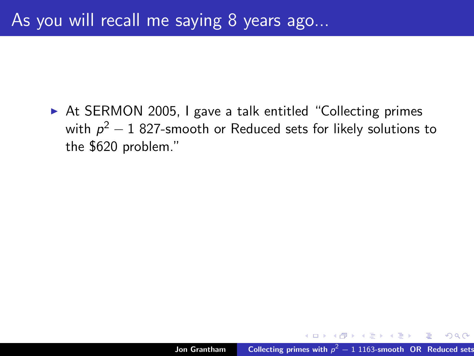► At SERMON 2005, I gave a talk entitled "Collecting primes with  $\rho^2-1$  827-smooth or Reduced sets for likely solutions to the \$620 problem."

メタト メミト メミト

 $2Q$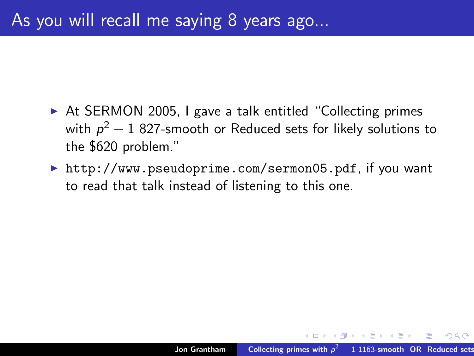- ► At SERMON 2005, I gave a talk entitled "Collecting primes with  $\rho^2-1$  827-smooth or Reduced sets for likely solutions to the \$620 problem."
- ▶ http://www.pseudoprime.com/sermon05.pdf, if you want to read that talk instead of listening to this one.

 $A \oplus A$  and  $A \oplus A$ 

 $\Omega$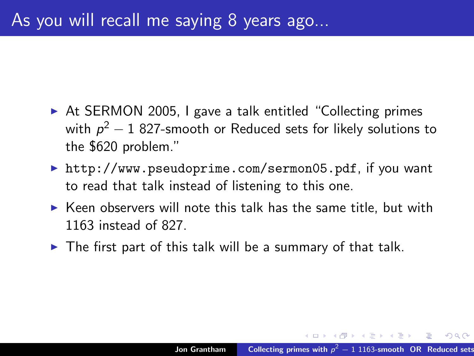- ► At SERMON 2005, I gave a talk entitled "Collecting primes with  $\rho^2-1$  827-smooth or Reduced sets for likely solutions to the \$620 problem."
- ▶ http://www.pseudoprime.com/sermon05.pdf, if you want to read that talk instead of listening to this one.
- $\triangleright$  Keen observers will note this talk has the same title, but with 1163 instead of 827.
- $\triangleright$  The first part of this talk will be a summary of that talk.

 $\overline{A}$   $\overline{B}$   $\rightarrow$   $\overline{A}$   $\overline{B}$   $\rightarrow$   $\overline{A}$   $\overline{B}$   $\rightarrow$ 

 $\Omega$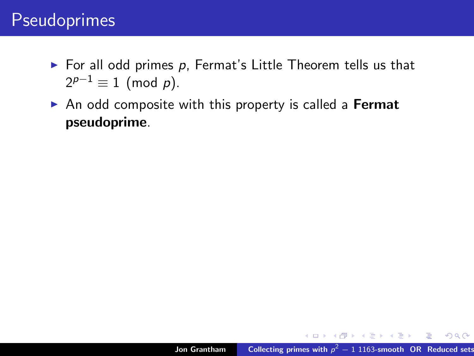#### Pseudoprimes

- $\triangleright$  For all odd primes p, Fermat's Little Theorem tells us that  $2^{p-1} \equiv 1 \pmod{p}$ .
- $\triangleright$  An odd composite with this property is called a **Fermat** pseudoprime.

K ロ ▶ K @ ▶ K 경 ▶ K 경 ▶ X 경

 $OQQ$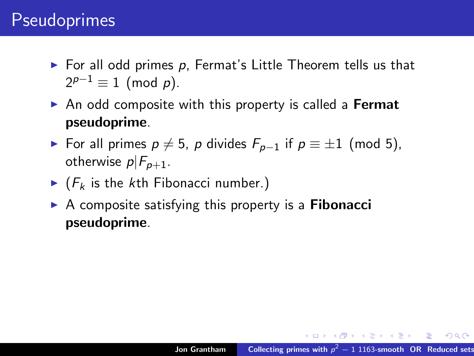#### **Pseudoprimes**

- $\triangleright$  For all odd primes p, Fermat's Little Theorem tells us that  $2^{p-1} \equiv 1 \pmod{p}$ .
- An odd composite with this property is called a Fermat pseudoprime.
- ► For all primes  $p \neq 5$ , p divides  $F_{p-1}$  if  $p \equiv \pm 1 \pmod{5}$ , otherwise  $p|F_{p+1}$ .
- $\blacktriangleright$  ( $F_k$  is the kth Fibonacci number.)
- $\triangleright$  A composite satisfying this property is a **Fibonacci** pseudoprime.

K ロ > K 個 > K 差 > K 差 > → 差 → の Q Q →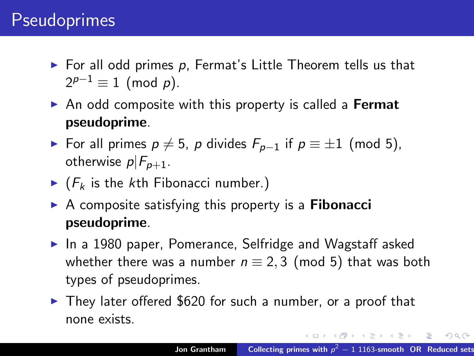#### **Pseudoprimes**

- $\triangleright$  For all odd primes p, Fermat's Little Theorem tells us that  $2^{p-1} \equiv 1 \pmod{p}$ .
- $\triangleright$  An odd composite with this property is called a Fermat pseudoprime.
- ► For all primes  $p \neq 5$ , p divides  $F_{p-1}$  if  $p \equiv \pm 1 \pmod{5}$ , otherwise  $p|F_{n+1}$ .
- $\blacktriangleright$  ( $F_k$  is the kth Fibonacci number.)
- $\triangleright$  A composite satisfying this property is a **Fibonacci** pseudoprime.
- $\blacktriangleright$  In a 1980 paper, Pomerance, Selfridge and Wagstaff asked whether there was a number  $n \equiv 2, 3 \pmod{5}$  that was both types of pseudoprimes.
- $\triangleright$  They later offered \$620 for such a number, or a proof that none exists.

イロメ イ母メ イヨメ イヨメーヨー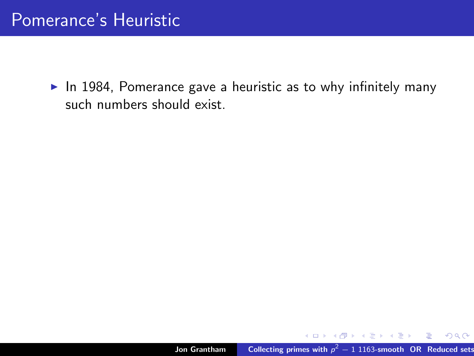In 1984, Pomerance gave a heuristic as to why infinitely many such numbers should exist.

K ロ ▶ K 個 ▶ K 君 ▶ K 君 ▶ …

重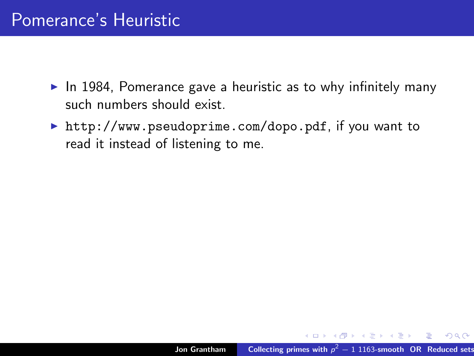- $\triangleright$  In 1984, Pomerance gave a heuristic as to why infinitely many such numbers should exist.
- Inttp://www.pseudoprime.com/dopo.pdf, if you want to read it instead of listening to me.

メタトメ ミトメ ミト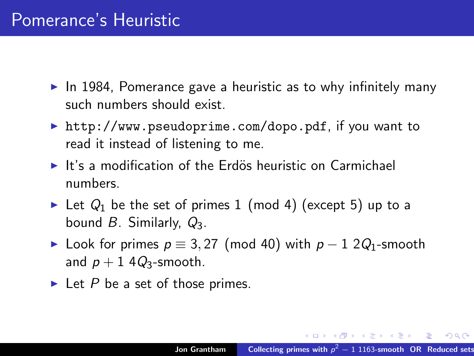- $\triangleright$  In 1984, Pomerance gave a heuristic as to why infinitely many such numbers should exist.
- Intermity http://www.pseudoprime.com/dopo.pdf, if you want to read it instead of listening to me.
- $\blacktriangleright$  It's a modification of the Erdös heuristic on Carmichael numbers.
- In Let  $Q_1$  be the set of primes 1 (mod 4) (except 5) up to a bound  $B$ . Similarly,  $Q_3$ .
- ► Look for primes  $p \equiv 3,27 \pmod{40}$  with  $p-1 \ 2Q_1$ -smooth and  $p + 1$  4 $Q_3$ -smooth.
- $\blacktriangleright$  Let P be a set of those primes.

イロン イ団ン イミン イミン 一番

 $2Q$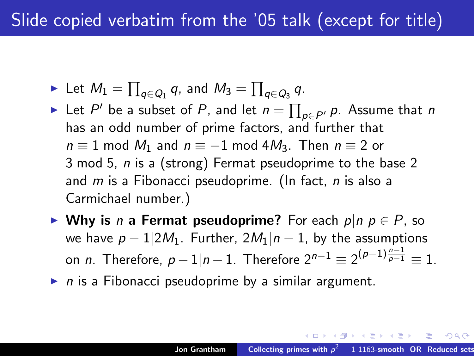- $\blacktriangleright$  Let  $M_1 = \prod_{q \in Q_1} q$ , and  $M_3 = \prod_{q \in Q_3} q$ .
- ► Let  $P'$  be a subset of  $P$ , and let  $n = \prod_{p \in P'} p$ . Assume that  $n$ has an odd number of prime factors, and further that  $n \equiv 1$  mod  $M_1$  and  $n \equiv -1$  mod 4 $M_3$ . Then  $n \equiv 2$  or 3 mod 5, n is a (strong) Fermat pseudoprime to the base 2 and  $m$  is a Fibonacci pseudoprime. (In fact,  $n$  is also a Carmichael number.)
- ► Why is *n* a Fermat pseudoprime? For each  $p|n \in P$ , so we have  $p - 1/2M_1$ . Further,  $2M_1|n - 1$ , by the assumptions on *n*. Therefore,  $p-1|n-1$ . Therefore  $2^{n-1}\equiv 2^{(p-1)\frac{n-1}{p-1}}\equiv 1$ .
- $\triangleright$  n is a Fibonacci pseudoprime by a similar argument.

 $OQ$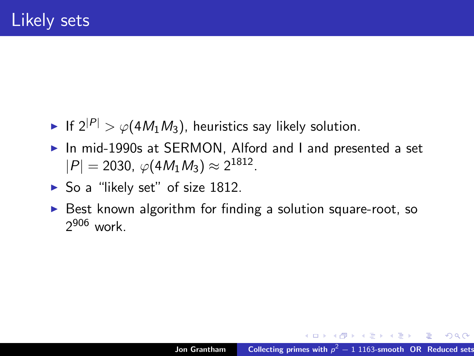- If  $2^{|P|} > \varphi(4M_1M_3)$ , heuristics say likely solution.
- ▶ In mid-1990s at SERMON, Alford and I and presented a set  $|P| = 2030, \ \varphi(4M_1M_3) \approx 2^{1812}.$
- $\triangleright$  So a "likely set" of size 1812.
- $\triangleright$  Best known algorithm for finding a solution square-root, so 2<sup>906</sup> work.

KID KARA KE KIER I E YOKO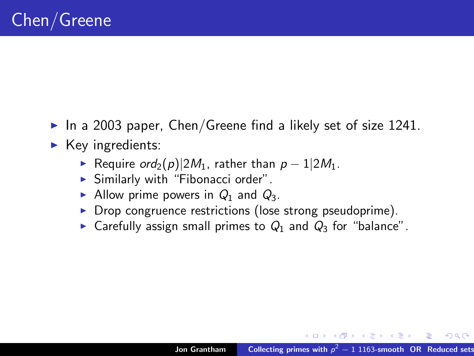- In a 2003 paper, Chen/Greene find a likely set of size 1241.
- $\blacktriangleright$  Key ingredients:
	- ► Require  $\text{ord}_2(p)|2M_1$ , rather than  $p-1|2M_1$ .
	- $\blacktriangleright$  Similarly with "Fibonacci order".
	- Allow prime powers in  $Q_1$  and  $Q_3$ .
	- $\triangleright$  Drop congruence restrictions (lose strong pseudoprime).
	- Garefully assign small primes to  $Q_1$  and  $Q_3$  for "balance".

イロメ イ部メ イヨメ イヨメー

 $2Q$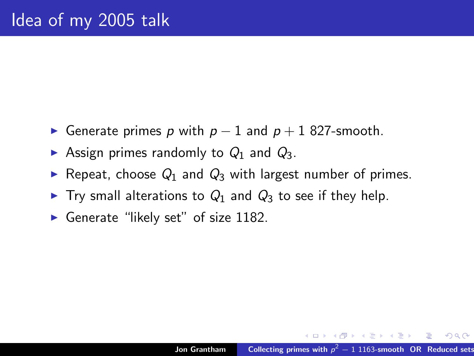- **►** Generate primes p with  $p 1$  and  $p + 1$  827-smooth.
- Assign primes randomly to  $Q_1$  and  $Q_3$ .
- Repeat, choose  $Q_1$  and  $Q_3$  with largest number of primes.
- $\triangleright$  Try small alterations to  $Q_1$  and  $Q_3$  to see if they help.
- Generate "likely set" of size  $1182$ .

メタトメ ミトメ ミト

 $2Q$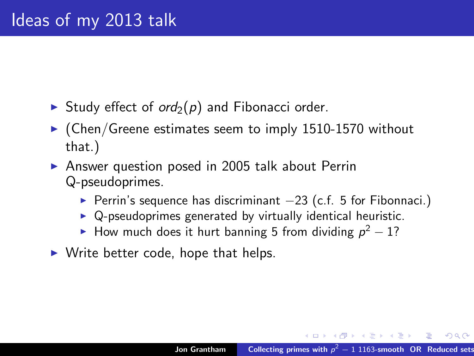- In Study effect of  $\text{ord}_2(p)$  and Fibonacci order.
- $\triangleright$  (Chen/Greene estimates seem to imply 1510-1570 without that.)
- $\triangleright$  Answer question posed in 2005 talk about Perrin Q-pseudoprimes.
	- $\triangleright$  Perrin's sequence has discriminant  $-23$  (c.f. 5 for Fibonnaci.)
	- $\triangleright$  Q-pseudoprimes generated by virtually identical heuristic.
	- ► How much does it hurt banning 5 from dividing  $p^2-1$ ?
- $\triangleright$  Write better code, hope that helps.

イロト イ押 トイモト イモト

 $\Omega$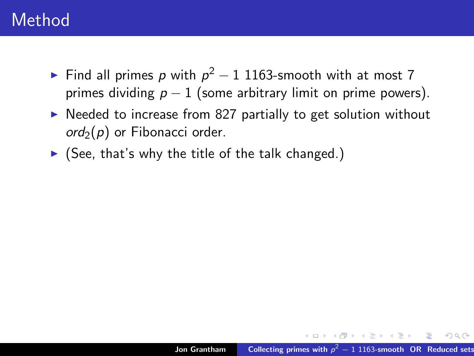- ► Find all primes p with  $p^2-1$  1163-smooth with at most 7 primes dividing  $p - 1$  (some arbitrary limit on prime powers).
- $\triangleright$  Needed to increase from 827 partially to get solution without  $\alpha$ d<sub>2</sub>(p) or Fibonacci order.
- $\triangleright$  (See, that's why the title of the talk changed.)

K ロ ▶ K @ ▶ K 할 > K 할 > 1 할 > 1 ⊙ Q Q ©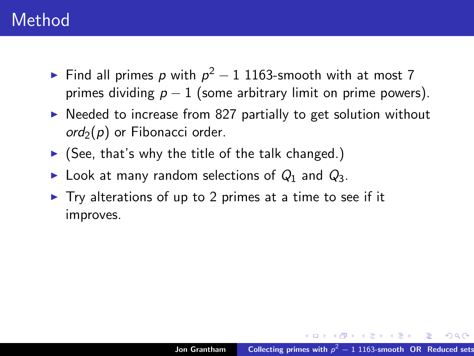- ► Find all primes p with  $p^2-1$  1163-smooth with at most 7 primes dividing  $p - 1$  (some arbitrary limit on prime powers).
- $\triangleright$  Needed to increase from 827 partially to get solution without  $\alpha$ d<sub>2</sub>(p) or Fibonacci order.
- $\triangleright$  (See, that's why the title of the talk changed.)
- ► Look at many random selections of  $Q_1$  and  $Q_3$ .
- $\triangleright$  Try alterations of up to 2 primes at a time to see if it improves.

KID KARA KE KIER I E YOKO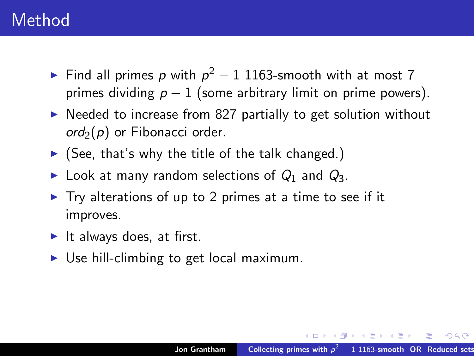- ► Find all primes p with  $p^2-1$  1163-smooth with at most 7 primes dividing  $p - 1$  (some arbitrary limit on prime powers).
- $\triangleright$  Needed to increase from 827 partially to get solution without  $\alpha$ d<sub>2</sub>(p) or Fibonacci order.
- $\triangleright$  (See, that's why the title of the talk changed.)
- ► Look at many random selections of  $Q_1$  and  $Q_3$ .
- $\triangleright$  Try alterations of up to 2 primes at a time to see if it improves.
- It always does, at first.
- $\triangleright$  Use hill-climbing to get local maximum.

KID KARA KE KIER I E YOKO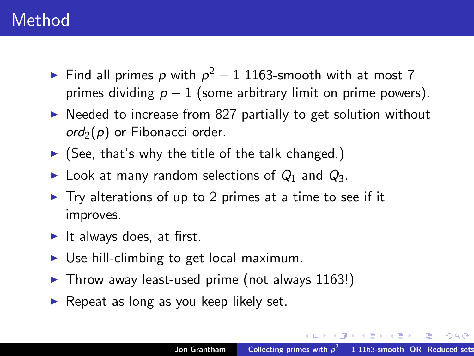- ► Find all primes p with  $p^2-1$  1163-smooth with at most 7 primes dividing  $p - 1$  (some arbitrary limit on prime powers).
- $\triangleright$  Needed to increase from 827 partially to get solution without  $\alpha$ d<sub>2</sub>(p) or Fibonacci order.
- $\triangleright$  (See, that's why the title of the talk changed.)
- ► Look at many random selections of  $Q_1$  and  $Q_3$ .
- $\triangleright$  Try alterations of up to 2 primes at a time to see if it improves.
- It always does, at first.
- $\triangleright$  Use hill-climbing to get local maximum.
- $\blacktriangleright$  Throw away least-used prime (not always 1163!)
- $\triangleright$  Repeat as long as you keep likely set.

イロメ イ母メ イヨメ イヨメーヨー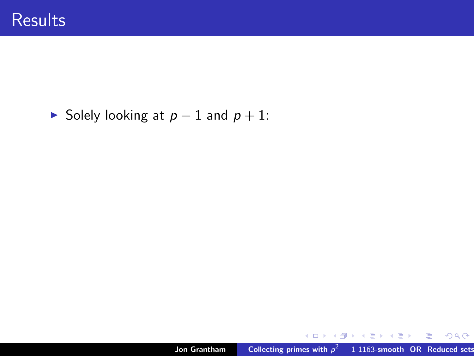#### $\triangleright$  Solely looking at  $p - 1$  and  $p + 1$ :

イロト (個) (目) (目) (目) つんべ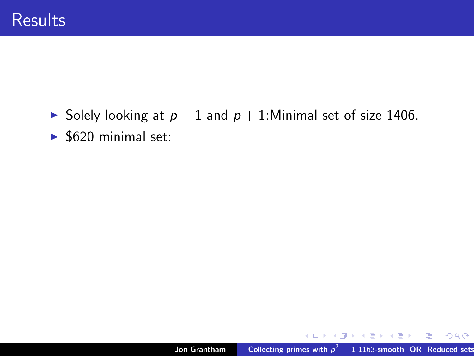- ► Solely looking at  $p 1$  and  $p + 1$ : Minimal set of size 1406.
- $\blacktriangleright$  \$620 minimal set:

K ロ ▶ K 御 ▶ K 君 ▶ K 君 ▶ ○ 君○ ◆ ① 9. ①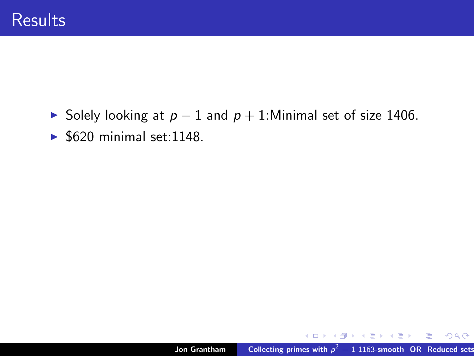- ► Solely looking at  $p 1$  and  $p + 1$ : Minimal set of size 1406.
- $\blacktriangleright$  \$620 minimal set:1148.

K ロ ▶ K 御 ▶ K 君 ▶ K 君 ▶ ○ 君○ ◆ ① 9. ①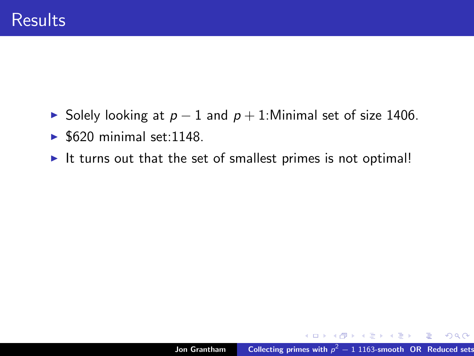- ► Solely looking at  $p 1$  and  $p + 1$ : Minimal set of size 1406.
- $\blacktriangleright$  \$620 minimal set:1148.
- It turns out that the set of smallest primes is not optimal!

K ロ ▶ K @ ▶ K 둘 ▶ K 둘 ▶ │ 둘 │ K 9 Q @ |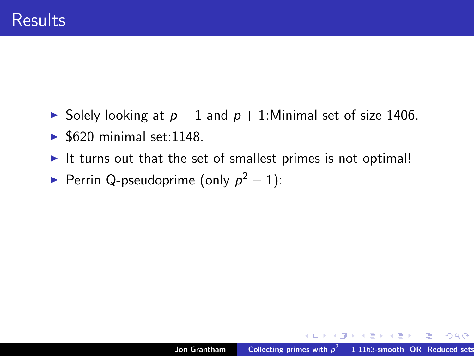- ► Solely looking at  $p 1$  and  $p + 1$ : Minimal set of size 1406.
- $\blacktriangleright$  \$620 minimal set:1148.
- It turns out that the set of smallest primes is not optimal!
- Perrin Q-pseudoprime (only  $p^2 1$ ):

K ロ ▶ K 個 ▶ K 글 ▶ K 글 ▶ 「글 」 K 0 Q (N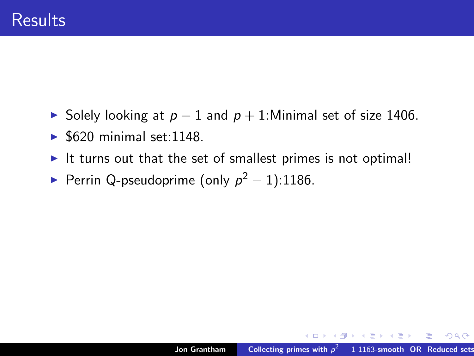- ► Solely looking at  $p 1$  and  $p + 1$ : Minimal set of size 1406.
- $\blacktriangleright$  \$620 minimal set:1148.
- It turns out that the set of smallest primes is not optimal!
- Perrin Q-pseudoprime (only  $p^2 1$ ):1186.

K ロ ▶ K 個 ▶ K 글 ▶ K 글 ▶ 「글 」 K 0 Q (N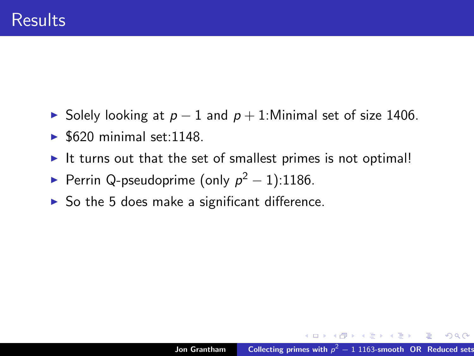- ► Solely looking at  $p-1$  and  $p+1$ :Minimal set of size 1406.
- $\blacktriangleright$  \$620 minimal set:1148.
- It turns out that the set of smallest primes is not optimal!
- Perrin Q-pseudoprime (only  $p^2 1$ ):1186.
- $\triangleright$  So the 5 does make a significant difference.

KID KARA KE KIER I E YOKO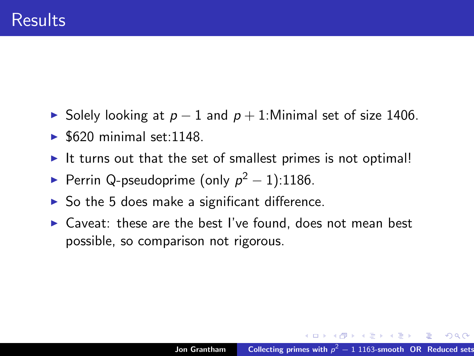- ► Solely looking at  $p-1$  and  $p+1$ :Minimal set of size 1406.
- $\blacktriangleright$  \$620 minimal set:1148.
- It turns out that the set of smallest primes is not optimal!
- Perrin Q-pseudoprime (only  $p^2 1$ ):1186.
- $\triangleright$  So the 5 does make a significant difference.
- $\triangleright$  Caveat: these are the best I've found, does not mean best possible, so comparison not rigorous.

K ロ ▶ K @ ▶ K 결 ▶ K 결 ▶ ○ 결